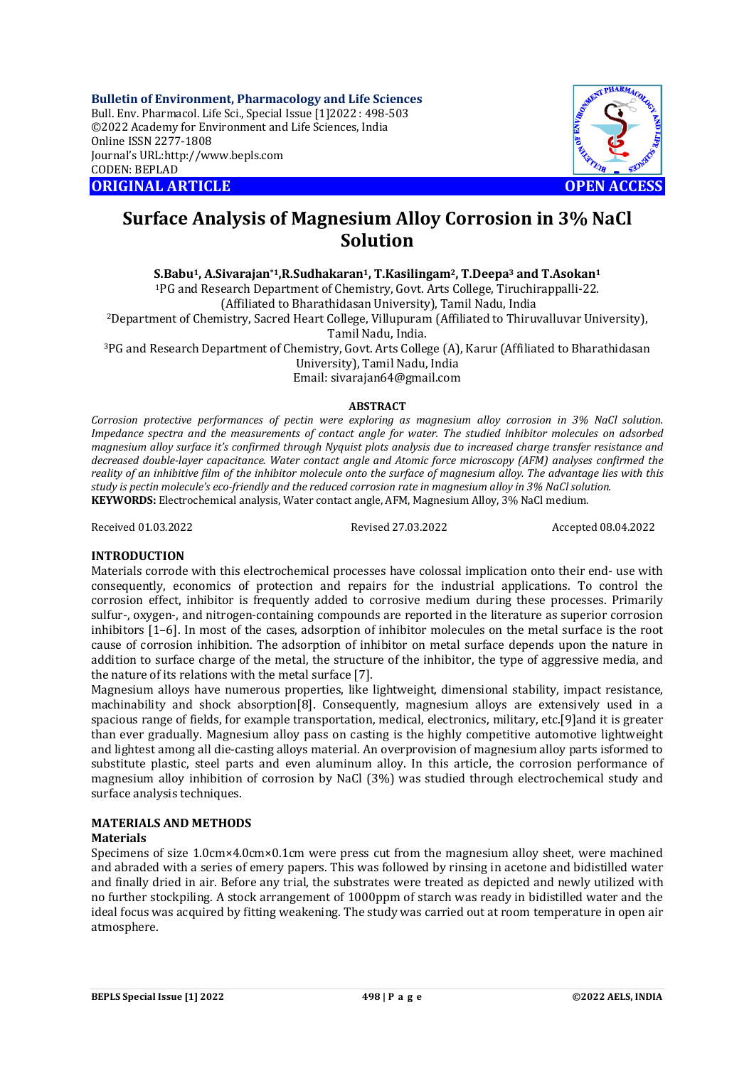**Bulletin of Environment, Pharmacology and Life Sciences** Bull. Env. Pharmacol. Life Sci., Special Issue [1]2022 : 498-503 ©2022 Academy for Environment and Life Sciences, India Online ISSN 2277-1808 Journal's URL:<http://www.bepls.com> CODEN: BEPLAD **ORIGINAL ARTICLE OPEN ACCESS** 



# **Surface Analysis of Magnesium Alloy Corrosion in 3% NaCl Solution**

**S.Babu1, A.Sivarajan\*1,R.Sudhakaran1, T.Kasilingam2, T.Deepa<sup>3</sup> and T.Asokan<sup>1</sup>**

<sup>1</sup>PG and Research Department of Chemistry, Govt. Arts College, Tiruchirappalli-22.

(Affiliated to Bharathidasan University), Tamil Nadu, India

<sup>2</sup>Department of Chemistry, Sacred Heart College, Villupuram (Affiliated to Thiruvalluvar University), Tamil Nadu, India.

<sup>3</sup>PG and Research Department of Chemistry, Govt. Arts College (A), Karur (Affiliated to Bharathidasan University), Tamil Nadu, India

Email: [sivarajan64@gmail.com](mailto:sivarajan64@gmail.com)

### **ABSTRACT**

*Corrosion protective performances of pectin were exploring as magnesium alloy corrosion in 3% NaCl solution. Impedance spectra and the measurements of contact angle for water. The studied inhibitor molecules on adsorbed magnesium alloy surface it's confirmed through Nyquist plots analysis due to increased charge transfer resistance and decreased double-layer capacitance. Water contact angle and Atomic force microscopy (AFM) analyses confirmed the reality of an inhibitive film of the inhibitor molecule onto the surface of magnesium alloy. The advantage lies with this study is pectin molecule's eco-friendly and the reduced corrosion rate in magnesium alloy in 3% NaCl solution.* **KEYWORDS:** Electrochemical analysis, Water contact angle, AFM, Magnesium Alloy, 3% NaCl medium.

Received 01.03.2022 Revised 27.03.2022 Accepted 08.04.2022

## **INTRODUCTION**

Materials corrode with this electrochemical processes have colossal implication onto their end- use with consequently, economics of protection and repairs for the industrial applications. To control the corrosion effect, inhibitor is frequently added to corrosive medium during these processes. Primarily sulfur-, oxygen-, and nitrogen-containing compounds are reported in the literature as superior corrosion inhibitors [1–6]. In most of the cases, adsorption of inhibitor molecules on the metal surface is the root cause of corrosion inhibition. The adsorption of inhibitor on metal surface depends upon the nature in addition to surface charge of the metal, the structure of the inhibitor, the type of aggressive media, and the nature of its relations with the metal surface [7].

Magnesium alloys have numerous properties, like lightweight, dimensional stability, impact resistance, machinability and shock absorption[8]. Consequently, magnesium alloys are extensively used in a spacious range of fields, for example transportation, medical, electronics, military, etc.[9]and it is greater than ever gradually. Magnesium alloy pass on casting is the highly competitive automotive lightweight and lightest among all die-casting alloys material. An overprovision of magnesium alloy parts isformed to substitute plastic, steel parts and even aluminum alloy. In this article, the corrosion performance of magnesium alloy inhibition of corrosion by NaCl (3%) was studied through electrochemical study and surface analysis techniques.

## **MATERIALS AND METHODS**

### **Materials**

Specimens of size 1.0cm×4.0cm×0.1cm were press cut from the magnesium alloy sheet, were machined and abraded with a series of emery papers. This was followed by rinsing in acetone and bidistilled water and finally dried in air. Before any trial, the substrates were treated as depicted and newly utilized with no further stockpiling. A stock arrangement of 1000ppm of starch was ready in bidistilled water and the ideal focus was acquired by fitting weakening. The study was carried out at room temperature in open air atmosphere.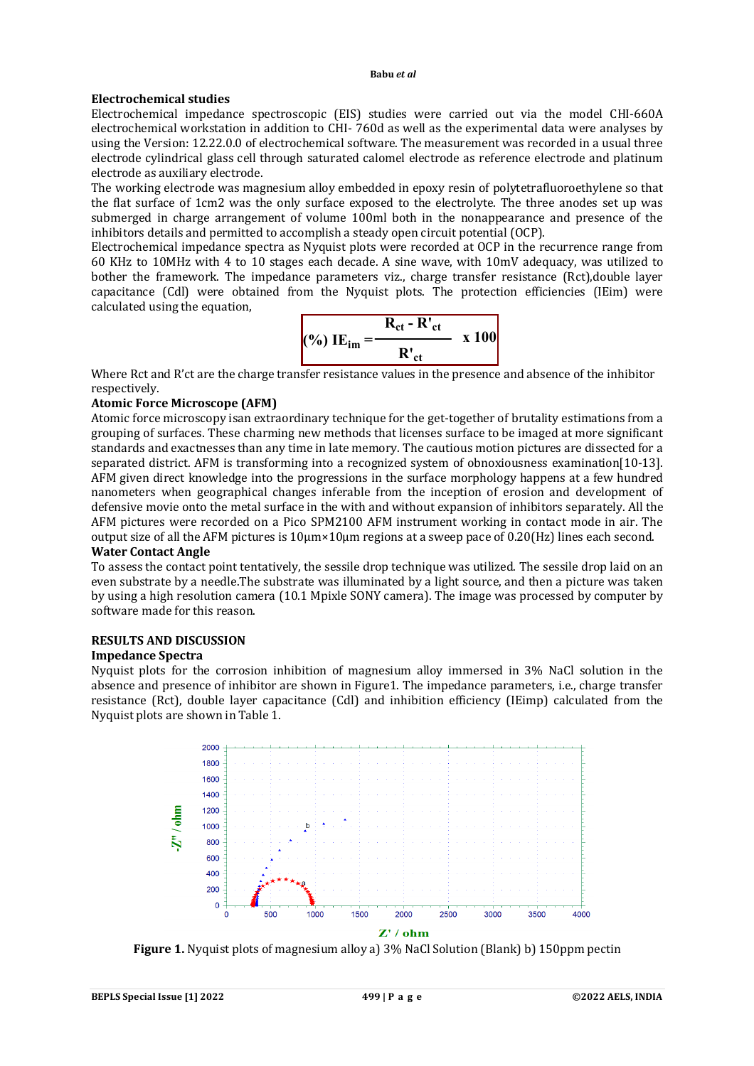#### **Babu** *et al*

### **Electrochemical studies**

Electrochemical impedance spectroscopic (EIS) studies were carried out via the model CHI-660A electrochemical workstation in addition to CHI- 760d as well as the experimental data were analyses by using the Version: 12.22.0.0 of electrochemical software. The measurement was recorded in a usual three electrode cylindrical glass cell through saturated calomel electrode as reference electrode and platinum electrode as auxiliary electrode.

The working electrode was magnesium alloy embedded in epoxy resin of polytetrafluoroethylene so that the flat surface of 1cm2 was the only surface exposed to the electrolyte. The three anodes set up was submerged in charge arrangement of volume 100ml both in the nonappearance and presence of the inhibitors details and permitted to accomplish a steady open circuit potential (OCP).

Electrochemical impedance spectra as Nyquist plots were recorded at OCP in the recurrence range from 60 KHz to 10MHz with 4 to 10 stages each decade. A sine wave, with 10mV adequacy, was utilized to bother the framework. The impedance parameters viz., charge transfer resistance (Rct),double layer capacitance (Cdl) were obtained from the Nyquist plots. The protection efficiencies (IEim) were calculated using the equation,

$$
(%) \tIEim = \frac{R_{ct} - R'_{ct}}{R'_{ct}} \t x 100
$$

Where Rct and R'ct are the charge transfer resistance values in the presence and absence of the inhibitor respectively.

### **Atomic Force Microscope (AFM)**

Atomic force microscopy isan extraordinary technique for the get-together of brutality estimations from a grouping of surfaces. These charming new methods that licenses surface to be imaged at more significant standards and exactnesses than any time in late memory. The cautious motion pictures are dissected for a separated district. AFM is transforming into a recognized system of obnoxiousness examination[10-13]. AFM given direct knowledge into the progressions in the surface morphology happens at a few hundred nanometers when geographical changes inferable from the inception of erosion and development of defensive movie onto the metal surface in the with and without expansion of inhibitors separately. All the AFM pictures were recorded on a Pico SPM2100 AFM instrument working in contact mode in air. The output size of all the AFM pictures is 10μm×10μm regions at a sweep pace of 0.20(Hz) lines each second.

## **Water Contact Angle**

To assess the contact point tentatively, the sessile drop technique was utilized. The sessile drop laid on an even substrate by a needle.The substrate was illuminated by a light source, and then a picture was taken by using a high resolution camera (10.1 Mpixle SONY camera). The image was processed by computer by software made for this reason.

## **RESULTS AND DISCUSSION**

## **Impedance Spectra**

Nyquist plots for the corrosion inhibition of magnesium alloy immersed in 3% NaCl solution in the absence and presence of inhibitor are shown in Figure1. The impedance parameters, i.e., charge transfer resistance (Rct), double layer capacitance (Cdl) and inhibition efficiency (IEimp) calculated from the Nyquist plots are shown in Table 1.



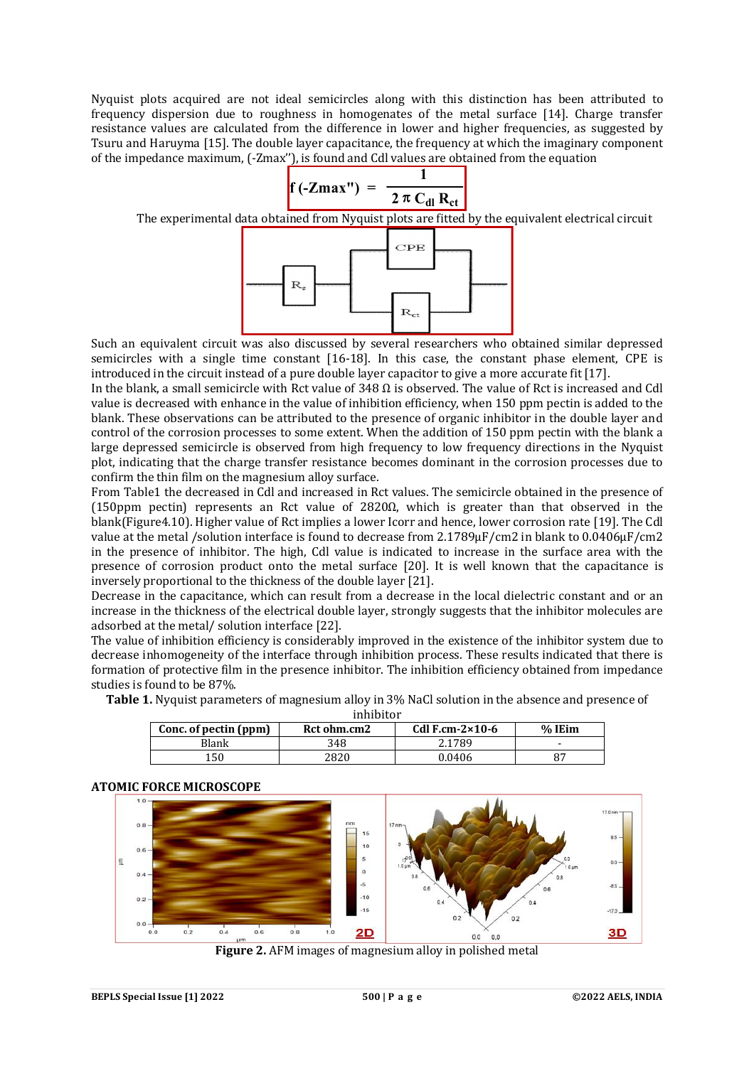Nyquist plots acquired are not ideal semicircles along with this distinction has been attributed to frequency dispersion due to roughness in homogenates of the metal surface [14]. Charge transfer resistance values are calculated from the difference in lower and higher frequencies, as suggested by Tsuru and Haruyma [15]. The double layer capacitance, the frequency at which the imaginary component of the impedance maximum, (-Zmax''), is found and Cdl values are obtained from the equation



The experimental data obtained from Nyquist plots are fitted by the equivalent electrical circuit



Such an equivalent circuit was also discussed by several researchers who obtained similar depressed semicircles with a single time constant [16-18]. In this case, the constant phase element, CPE is introduced in the circuit instead of a pure double layer capacitor to give a more accurate fit [17].

In the blank, a small semicircle with Rct value of 348  $\Omega$  is observed. The value of Rct is increased and Cdl value is decreased with enhance in the value of inhibition efficiency, when 150 ppm pectin is added to the blank. These observations can be attributed to the presence of organic inhibitor in the double layer and control of the corrosion processes to some extent. When the addition of 150 ppm pectin with the blank a large depressed semicircle is observed from high frequency to low frequency directions in the Nyquist plot, indicating that the charge transfer resistance becomes dominant in the corrosion processes due to confirm the thin film on the magnesium alloy surface.

From Table1 the decreased in Cdl and increased in Rct values. The semicircle obtained in the presence of (150ppm pectin) represents an Rct value of 2820 $\Omega$ , which is greater than that observed in the blank(Figure4.10). Higher value of Rct implies a lower Icorr and hence, lower corrosion rate [19]. The Cdl value at the metal /solution interface is found to decrease from 2.1789µF/cm2 in blank to 0.0406µF/cm2 in the presence of inhibitor. The high, Cdl value is indicated to increase in the surface area with the presence of corrosion product onto the metal surface [20]. It is well known that the capacitance is inversely proportional to the thickness of the double layer [21].

Decrease in the capacitance, which can result from a decrease in the local dielectric constant and or an increase in the thickness of the electrical double layer, strongly suggests that the inhibitor molecules are adsorbed at the metal/ solution interface [22].

The value of inhibition efficiency is considerably improved in the existence of the inhibitor system due to decrease inhomogeneity of the interface through inhibition process. These results indicated that there is formation of protective film in the presence inhibitor. The inhibition efficiency obtained from impedance studies is found to be 87%.

| inhibitor             |             |                         |                          |  |
|-----------------------|-------------|-------------------------|--------------------------|--|
| Conc. of pectin (ppm) | Rct ohm.cm2 | Cdl F.cm- $2\times10-6$ | % IEim                   |  |
| Blank                 | 348         | 2.1789                  | $\overline{\phantom{0}}$ |  |
| 150                   | 2820        | 0.0406                  |                          |  |

**Table 1.** Nyquist parameters of magnesium alloy in 3% NaCl solution in the absence and presence of

## **ATOMIC FORCE MICROSCOPE**



**Figure 2.** AFM images of magnesium alloy in polished metal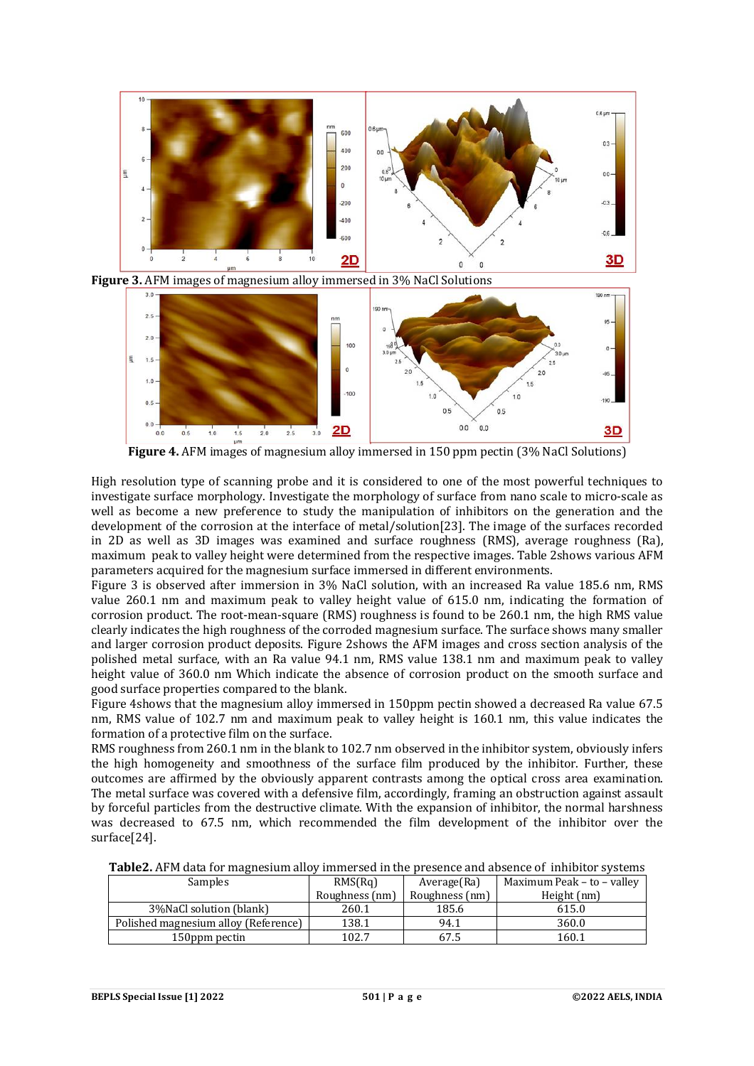

**Figure 3.** AFM images of magnesium alloy immersed in 3% NaCl Solutions



**Figure 4.** AFM images of magnesium alloy immersed in 150 ppm pectin (3% NaCl Solutions)

High resolution type of scanning probe and it is considered to one of the most powerful techniques to investigate surface morphology. Investigate the morphology of surface from nano scale to micro-scale as well as become a new preference to study the manipulation of inhibitors on the generation and the development of the corrosion at the interface of metal/solution[23]. The image of the surfaces recorded in 2D as well as 3D images was examined and surface roughness (RMS), average roughness (Ra), maximum peak to valley height were determined from the respective images. Table 2shows various AFM parameters acquired for the magnesium surface immersed in different environments.

Figure 3 is observed after immersion in 3% NaCl solution, with an increased Ra value 185.6 nm, RMS value 260.1 nm and maximum peak to valley height value of 615.0 nm, indicating the formation of corrosion product. The root-mean-square (RMS) roughness is found to be 260.1 nm, the high RMS value clearly indicates the high roughness of the corroded magnesium surface. The surface shows many smaller and larger corrosion product deposits. Figure 2shows the AFM images and cross section analysis of the polished metal surface, with an Ra value 94.1 nm, RMS value 138.1 nm and maximum peak to valley height value of 360.0 nm Which indicate the absence of corrosion product on the smooth surface and good surface properties compared to the blank.

Figure 4shows that the magnesium alloy immersed in 150ppm pectin showed a decreased Ra value 67.5 nm, RMS value of 102.7 nm and maximum peak to valley height is 160.1 nm, this value indicates the formation of a protective film on the surface.

RMS roughness from 260.1 nm in the blank to 102.7 nm observed in the inhibitor system, obviously infers the high homogeneity and smoothness of the surface film produced by the inhibitor. Further, these outcomes are affirmed by the obviously apparent contrasts among the optical cross area examination. The metal surface was covered with a defensive film, accordingly, framing an obstruction against assault by forceful particles from the destructive climate. With the expansion of inhibitor, the normal harshness was decreased to 67.5 nm, which recommended the film development of the inhibitor over the surface[24].

| Samples                              | RMS(Rq)        | Average(Ra)    | Maximum Peak – to – valley |
|--------------------------------------|----------------|----------------|----------------------------|
|                                      | Roughness (nm) | Roughness (nm) | Height (nm)                |
| 3% NaCl solution (blank)             | 260.1          | 185.6          | 615.0                      |
| Polished magnesium alloy (Reference) | 138.1          | 94.1           | 360.0                      |
| 150ppm pectin                        | 102.7          | 67.5           | 160.1                      |

**Table2.** AFM data for magnesium alloy immersed in the presence and absence of inhibitor systems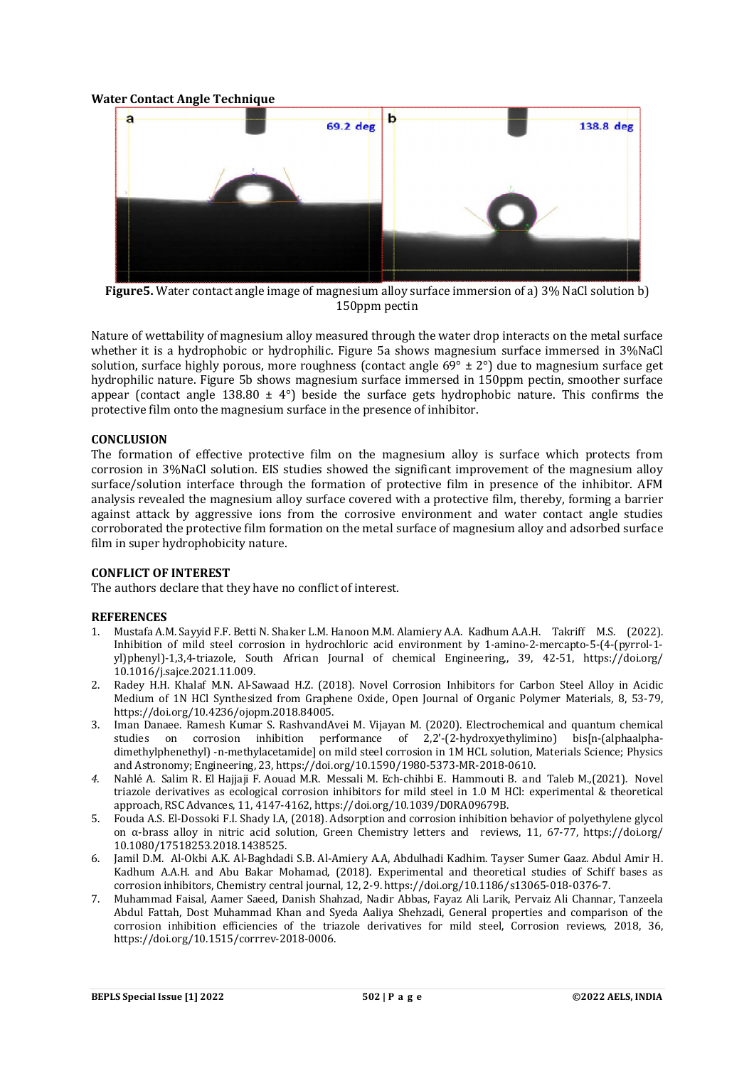### **Water Contact Angle Technique**



**Figure5.** Water contact angle image of magnesium alloy surface immersion of a) 3% NaCl solution b) 150ppm pectin

Nature of wettability of magnesium alloy measured through the water drop interacts on the metal surface whether it is a hydrophobic or hydrophilic. Figure 5a shows magnesium surface immersed in 3%NaCl solution, surface highly porous, more roughness (contact angle  $69^{\circ} \pm 2^{\circ}$ ) due to magnesium surface get hydrophilic nature. Figure 5b shows magnesium surface immersed in 150ppm pectin, smoother surface appear (contact angle 138.80  $\pm$  4°) beside the surface gets hydrophobic nature. This confirms the protective film onto the magnesium surface in the presence of inhibitor.

### **CONCLUSION**

The formation of effective protective film on the magnesium alloy is surface which protects from corrosion in 3%NaCl solution. EIS studies showed the significant improvement of the magnesium alloy surface/solution interface through the formation of protective film in presence of the inhibitor. AFM analysis revealed the magnesium alloy surface covered with a protective film, thereby, forming a barrier against attack by aggressive ions from the corrosive environment and water contact angle studies corroborated the protective film formation on the metal surface of magnesium alloy and adsorbed surface film in super hydrophobicity nature.

### **CONFLICT OF INTEREST**

The authors declare that they have no conflict of interest.

### **REFERENCES**

- 1. Mustafa A.M. Sayyid F.F. Betti N. Shaker L.M. Hanoon M.M. Alamiery A.A. Kadhum A.A.H. Takriff M.S. (2022). Inhibition of mild steel corrosion in hydrochloric acid environment by 1-amino-2-mercapto-5-(4-(pyrrol-1 yl)phenyl)-1,3,4-triazole, South African Journal of chemical Engineering,, 39, 42-51, <https://doi.org/> 10.1016/j.sajce.2021.11.009.
- 2. Radey H.H. Khalaf M.N. Al-Sawaad H.Z. (2018). Novel Corrosion Inhibitors for Carbon Steel Alloy in Acidic Medium of 1N HCl Synthesized from Graphene Oxide, Open Journal of Organic Polymer Materials, 8, 53-79, <https://doi.org/10.4236/ojopm.2018.84005.>
- 3. Iman Danaee. Ramesh Kumar S. RashvandAvei M. Vijayan M. (2020). Electrochemical and quantum chemical studies on corrosion inhibition performance of 2,2'-(2-hydroxyethylimino) bis[n-(alphaalphadimethylphenethyl) -n-methylacetamide] on mild steel corrosion in 1M HCL solution, Materials Science; Physics and Astronomy; Engineering, 23,<https://doi.org/10.1590/1980-5373-MR-2018-0610.>
- *4.* Nahlé A. Salim R. El Hajjaji F. Aouad M.R. Messali M. Ech-chihbi E. Hammouti B. and Taleb M.,(2021). Novel triazole derivatives as ecological corrosion inhibitors for mild steel in 1.0 M HCl: experimental & theoretical approach, RSC Advances, 11, 4147-4162,<https://doi.org/10.1039/D0RA09679B.>
- 5. Fouda A.S. El-Dossoki F.I. Shady I.A, (2018). Adsorption and corrosion inhibition behavior of polyethylene glycol on α-brass alloy in nitric acid solution, Green Chemistry letters and reviews, 11, 67-77, <https://doi.org/> 10.1080/17518253.2018.1438525.
- 6. Jamil D.M. Al-Okbi A.K. Al-Baghdadi S.B. Al-Amiery A.A, Abdulhadi Kadhim. Tayser Sumer Gaaz. Abdul Amir H. Kadhum A.A.H. and Abu Bakar Mohamad, (2018). Experimental and theoretical studies of Schiff bases as corrosion inhibitors, Chemistry central journal, 12, 2-9. <https://doi.org/10.1186/s13065-018-0376-7.>
- 7. Muhammad Faisal, Aamer Saeed, Danish Shahzad, Nadir Abbas, Fayaz Ali Larik, Pervaiz Ali Channar, Tanzeela Abdul Fattah, Dost Muhammad Khan and Syeda Aaliya Shehzadi, General properties and comparison of the corrosion inhibition efficiencies of the triazole derivatives for mild steel, Corrosion reviews, 2018, 36, <https://doi.org/10.1515/corrrev-2018-0006.>